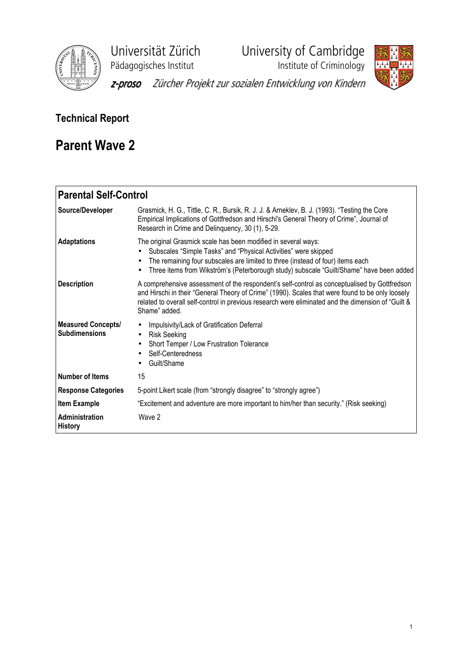

Universität Zürich University of Cambridge

Pädagogisches Institut **Institute institute of Criminology** 



z-proso Zürcher Projekt zur sozialen Entwicklung von Kindern

# Technical Report

# Parent Wave 2

| <b>Parental Self-Control</b>                      |                                                                                                                                                                                                                                                                                                                                          |
|---------------------------------------------------|------------------------------------------------------------------------------------------------------------------------------------------------------------------------------------------------------------------------------------------------------------------------------------------------------------------------------------------|
| Source/Developer                                  | Grasmick, H. G., Tittle, C. R., Bursik, R. J. J. & Arneklev, B. J. (1993). "Testing the Core<br>Empirical Implications of Gottfredson and Hirschi's General Theory of Crime", Journal of<br>Research in Crime and Delinquency, 30 (1), 5-29.                                                                                             |
| <b>Adaptations</b>                                | The original Grasmick scale has been modified in several ways:<br>Subscales "Simple Tasks" and "Physical Activities" were skipped<br>The remaining four subscales are limited to three (instead of four) items each<br>$\bullet$<br>Three items from Wikström's (Peterborough study) subscale "Guilt/Shame" have been added<br>$\bullet$ |
| <b>Description</b>                                | A comprehensive assessment of the respondent's self-control as conceptualised by Gottfredson<br>and Hirschi in their "General Theory of Crime" (1990). Scales that were found to be only loosely<br>related to overall self-control in previous research were eliminated and the dimension of "Guilt &<br>Shame" added.                  |
| <b>Measured Concepts/</b><br><b>Subdimensions</b> | Impulsivity/Lack of Gratification Deferral<br>٠<br><b>Risk Seeking</b><br>$\bullet$<br>Short Temper / Low Frustration Tolerance<br>$\bullet$<br>Self-Centeredness<br>Guilt/Shame                                                                                                                                                         |
| <b>Number of Items</b>                            | 15                                                                                                                                                                                                                                                                                                                                       |
| <b>Response Categories</b>                        | 5-point Likert scale (from "strongly disagree" to "strongly agree")                                                                                                                                                                                                                                                                      |
| <b>Item Example</b>                               | "Excitement and adventure are more important to him/her than security." (Risk seeking)                                                                                                                                                                                                                                                   |
| <b>Administration</b><br><b>History</b>           | Wave 2                                                                                                                                                                                                                                                                                                                                   |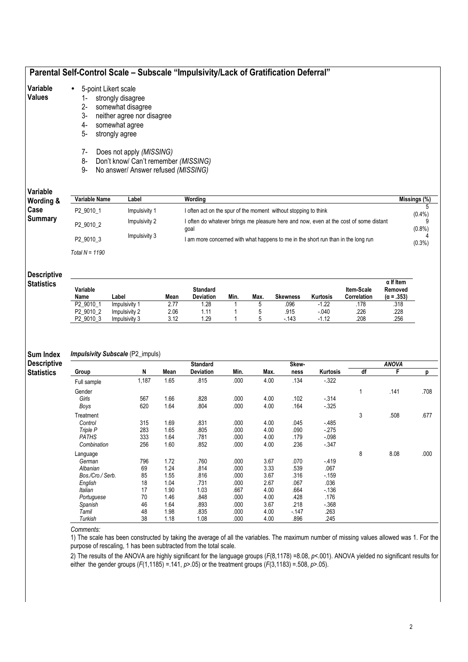# Parental Self-Control Scale – Subscale "Impulsivity/Lack of Gratification Deferral"

#### Variable • 5-point Likert scale

### Values

- 1- strongly disagree 2- somewhat disagree
	- 3- neither agree nor disagree
	- 4- somewhat agree
	- 5- strongly agree
	- 7- Does not apply (MISSING)
	- 8- Don't know/ Can't remember (MISSING)
- 9- No answer/ Answer refused (MISSING)

# Variable

| Variable<br>Wording & | Variable Name    | Label         | Wordina                                                                                       | Missings (%) |
|-----------------------|------------------|---------------|-----------------------------------------------------------------------------------------------|--------------|
| Case                  | P2 9010 1        | Impulsivity 1 | I often act on the spur of the moment without stopping to think                               | $(0.4\%)$    |
| <b>Summary</b>        | P2 9010 2        | Impulsivity 2 | I often do whatever brings me pleasure here and now, even at the cost of some distant<br>goal | $(0.8\%)$    |
|                       | P2 9010 3        | Impulsivity 3 | I am more concerned with what happens to me in the short run than in the long run             | $(0.3\%)$    |
|                       | Total N = $1190$ |               |                                                                                               |              |

#### **Descriptive**

| <b>Statistics</b> |  |
|-------------------|--|
|                   |  |

| Variable<br>Name      | Label         | Mean | Standard<br>Deviation | Min. | Max. | <b>Skewness</b> | <b>Kurtosis</b> | <b>Item-Scale</b><br>Correlation | $\alpha$ If Item<br>Removed<br>$(\alpha = .353)$ |
|-----------------------|---------------|------|-----------------------|------|------|-----------------|-----------------|----------------------------------|--------------------------------------------------|
| P <sub>2</sub> 9010 1 | Impulsivity 1 | 2.77 | .28                   |      |      | .096            | $-1.22$         | .178                             | .318                                             |
| P2 9010 2             | Impulsivity 2 | 2.06 | . 11                  |      |      | .915            | $-.040$         | .226                             | .228                                             |
| 9010 3<br>P2          | Impulsivity 3 | 3.12 | .29                   |      |      | $-143$          | $-1.12$         | .208                             | .256                                             |

#### Sum Index Impulsivity Subscale (P2\_impuls)

| <b>Descriptive</b> |                  |       |      | <b>Standard</b>  |      |      | Skew-  |          |    | <b>ANOVA</b> |      |
|--------------------|------------------|-------|------|------------------|------|------|--------|----------|----|--------------|------|
| <b>Statistics</b>  | Group            | N     | Mean | <b>Deviation</b> | Min. | Max. | ness   | Kurtosis | df | F            | p    |
|                    | Full sample      | 1,187 | 1.65 | .815             | .000 | 4.00 | .134   | $-322$   |    |              |      |
|                    | Gender           |       |      |                  |      |      |        |          |    | .141         | .708 |
|                    | Girls            | 567   | 1.66 | .828             | .000 | 4.00 | .102   | $-314$   |    |              |      |
|                    | Boys             | 620   | 1.64 | .804             | .000 | 4.00 | .164   | $-325$   |    |              |      |
|                    | Treatment        |       |      |                  |      |      |        |          | 3  | .508         | .677 |
|                    | Control          | 315   | 1.69 | .831             | .000 | 4.00 | .045   | $-485$   |    |              |      |
|                    | Triple P         | 283   | 1.65 | .805             | .000 | 4.00 | .090   | $-275$   |    |              |      |
|                    | <b>PATHS</b>     | 333   | 1.64 | .781             | .000 | 4.00 | .179   | $-0.98$  |    |              |      |
|                    | Combination      | 256   | 1.60 | .852             | .000 | 4.00 | .236   | $-347$   |    |              |      |
|                    | Language         |       |      |                  |      |      |        |          | 8  | 8.08         | .000 |
|                    | German           | 796   | 1.72 | .760             | .000 | 3.67 | .070   | $-419$   |    |              |      |
|                    | Albanian         | 69    | 1.24 | .814             | .000 | 3.33 | .539   | .067     |    |              |      |
|                    | Bos./Cro./ Serb. | 85    | 1.55 | .816             | .000 | 3.67 | .316   | $-159$   |    |              |      |
|                    | English          | 18    | 1.04 | .731             | .000 | 2.67 | .067   | .036     |    |              |      |
|                    | Italian          | 17    | 1.90 | 1.03             | .667 | 4.00 | .664   | $-136$   |    |              |      |
|                    | Portuguese       | 70    | 1.46 | .848             | .000 | 4.00 | .428   | .176     |    |              |      |
|                    | Spanish          | 46    | 1.64 | .893             | .000 | 3.67 | .218   | $-368$   |    |              |      |
|                    | Tamil            | 48    | 1.98 | .835             | .000 | 4.00 | $-147$ | .263     |    |              |      |
|                    | Turkish          | 38    | 1.18 | 1.08             | .000 | 4.00 | .896   | .245     |    |              |      |

#### Comments:

1) The scale has been constructed by taking the average of all the variables. The maximum number of missing values allowed was 1. For the purpose of rescaling, 1 has been subtracted from the total scale.

2) The results of the ANOVA are highly significant for the language groups  $(F(8,1178) = 8.08, p < .001)$ . ANOVA yielded no significant results for either the gender groups  $(F(1,1185) = .141, p > .05)$  or the treatment groups  $(F(3,1183) = .508, p > .05)$ .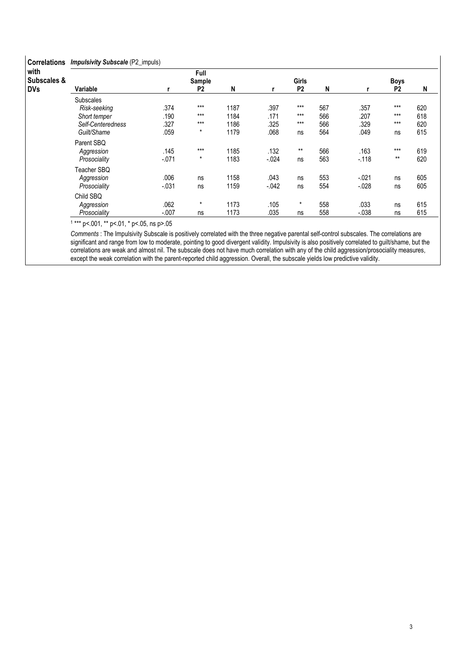| <b>Correlations</b> | <b>Impulsivity Subscale</b> (P2_impuls) |         |                |      |          |                |     |          |                |     |  |  |  |
|---------------------|-----------------------------------------|---------|----------------|------|----------|----------------|-----|----------|----------------|-----|--|--|--|
| with                |                                         |         | Full           |      |          |                |     |          |                |     |  |  |  |
| Subscales &         |                                         |         | Sample         |      |          | <b>Girls</b>   |     |          | <b>Boys</b>    |     |  |  |  |
| <b>DVs</b>          | Variable                                |         | P <sub>2</sub> | N    | r        | P <sub>2</sub> | N   |          | P <sub>2</sub> | N   |  |  |  |
|                     | <b>Subscales</b>                        |         |                |      |          |                |     |          |                |     |  |  |  |
|                     | Risk-seeking                            | .374    | $***$          | 1187 | .397     | $***$          | 567 | .357     | $***$          | 620 |  |  |  |
|                     | Short temper                            | .190    | $***$          | 1184 | .171     | $***$          | 566 | .207     | $***$          | 618 |  |  |  |
|                     | Self-Centeredness                       | .327    | $***$          | 1186 | .325     | $***$          | 566 | .329     | $***$          | 620 |  |  |  |
|                     | Guilt/Shame                             | .059    | $\star$        | 1179 | .068     | ns             | 564 | .049     | ns             | 615 |  |  |  |
|                     | Parent SBQ                              |         |                |      |          |                |     |          |                |     |  |  |  |
|                     | Aggression                              | .145    | $***$          | 1185 | .132     | $***$          | 566 | .163     | $***$          | 619 |  |  |  |
|                     | Prosociality                            | $-.071$ | $\star$        | 1183 | $-.024$  | ns             | 563 | $-.118$  | $***$          | 620 |  |  |  |
|                     | Teacher SBQ                             |         |                |      |          |                |     |          |                |     |  |  |  |
|                     | Aggression                              | .006    | ns             | 1158 | .043     | ns             | 553 | $-.021$  | ns             | 605 |  |  |  |
|                     | Prosociality                            | $-.031$ | ns             | 1159 | $-0.042$ | ns             | 554 | $-.028$  | ns             | 605 |  |  |  |
|                     | Child SBQ                               |         |                |      |          |                |     |          |                |     |  |  |  |
|                     | Aggression                              | .062    | $\star$        | 1173 | .105     | $\star$        | 558 | .033     | ns             | 615 |  |  |  |
|                     | Prosociality                            | $-.007$ | ns             | 1173 | .035     | ns             | 558 | $-0.038$ | ns             | 615 |  |  |  |

Comments : The Impulsivity Subscale is positively correlated with the three negative parental self-control subscales. The correlations are significant and range from low to moderate, pointing to good divergent validity. Impulsivity is also positively correlated to guilt/shame, but the correlations are weak and almost nil. The subscale does not have much correlation with any of the child aggression/prosociality measures, except the weak correlation with the parent-reported child aggression. Overall, the subscale yields low predictive validity.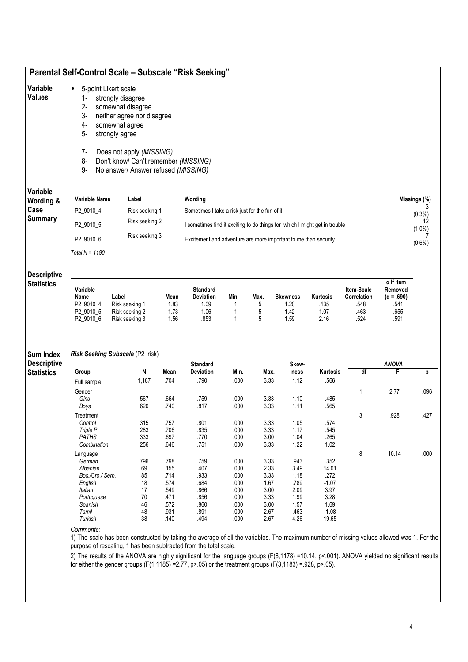# Parental Self-Control Scale – Subscale "Risk Seeking"

## Values

- 1- strongly disagree 2- somewhat disagree
	- 3- neither agree nor disagree
	- 4- somewhat agree
	- 5- strongly agree
	- 7- Does not apply (MISSING)
	- 8- Don't know/ Can't remember (MISSING)
	- 9- No answer/ Answer refused (MISSING)

# Variable

| Variable<br>Wording & | Variable Name    | Label          | Wordina                                                                    | Missings (%) |
|-----------------------|------------------|----------------|----------------------------------------------------------------------------|--------------|
| Case                  | P2 9010 4        | Risk seeking 1 | Sometimes I take a risk just for the fun of it                             | $(0.3\%)$    |
| <b>Summary</b>        | P2 9010 5        | Risk seeking 2 | I sometimes find it exciting to do things for which I might get in trouble | $(1.0\%)$    |
|                       | P2 9010 6        | Risk seeking 3 | Excitement and adventure are more important to me than security            | $(0.6\%)$    |
|                       | Total $N = 1190$ |                |                                                                            |              |

#### **Descriptive**

| <b>Statistics</b> |  |
|-------------------|--|
|                   |  |

| Variable<br>Name      | Label          | Mean | Standard<br><b>Deviation</b> | Min. | Max. | <b>Skewness</b> | Kurtosis | <b>Item-Scale</b><br>Correlation | $\alpha$ If Item<br>Removed<br>$(\alpha = .690)$ |
|-----------------------|----------------|------|------------------------------|------|------|-----------------|----------|----------------------------------|--------------------------------------------------|
| P2 9010 4             | Risk seeking 1 | ∣.83 | .09                          |      |      | 1.20            | .435     | .548                             | .541                                             |
| P <sub>2</sub> 9010 5 | Risk seeking 2 | 1.73 | .06                          |      |      | .42             | 07. ،    | .463                             | .655                                             |
| P <sub>2</sub> 9010 6 | Risk seeking 3 | . 56 | .853                         |      |      | .59             | 2.16     | .524                             | .591                                             |

#### Sum Index Risk Seeking Subscale (P2\_risk)

| <b>Descriptive</b> |                  |       |      | <b>Standard</b> |      |      | Skew- |          |    | <b>ANOVA</b> |      |
|--------------------|------------------|-------|------|-----------------|------|------|-------|----------|----|--------------|------|
| <b>Statistics</b>  | Group            | N     | Mean | Deviation       | Min. | Max. | ness  | Kurtosis | df | F            | р    |
|                    | Full sample      | 1,187 | .704 | .790            | .000 | 3.33 | 1.12  | .566     |    |              |      |
|                    | Gender           |       |      |                 |      |      |       |          |    | 2.77         | .096 |
|                    | Girls            | 567   | .664 | .759            | .000 | 3.33 | 1.10  | .485     |    |              |      |
|                    | Boys             | 620   | .740 | .817            | .000 | 3.33 | 1.11  | .565     |    |              |      |
|                    | Treatment        |       |      |                 |      |      |       |          | 3  | .928         | .427 |
|                    | Control          | 315   | .757 | .801            | .000 | 3.33 | 1.05  | .574     |    |              |      |
|                    | Triple P         | 283   | .706 | .835            | .000 | 3.33 | 1.17  | .545     |    |              |      |
|                    | <b>PATHS</b>     | 333   | .697 | .770            | .000 | 3.00 | 1.04  | .265     |    |              |      |
|                    | Combination      | 256   | .646 | .751            | .000 | 3.33 | 1.22  | 1.02     |    |              |      |
|                    | Language         |       |      |                 |      |      |       |          | 8  | 10.14        | .000 |
|                    | German           | 796   | .798 | .759            | .000 | 3.33 | .943  | .352     |    |              |      |
|                    | Albanian         | 69    | .155 | .407            | .000 | 2.33 | 3.49  | 14.01    |    |              |      |
|                    | Bos./Cro./ Serb. | 85    | .714 | .933            | .000 | 3.33 | 1.18  | .272     |    |              |      |
|                    | English          | 18    | .574 | .684            | .000 | 1.67 | .789  | $-1.07$  |    |              |      |
|                    | Italian          | 17    | .549 | .866            | .000 | 3.00 | 2.09  | 3.97     |    |              |      |
|                    | Portuguese       | 70    | .471 | .856            | .000 | 3.33 | 1.99  | 3.28     |    |              |      |
|                    | Spanish          | 46    | .572 | .860            | .000 | 3.00 | 1.57  | 1.69     |    |              |      |
|                    | Tamil            | 48    | .931 | .891            | .000 | 2.67 | .463  | $-1.08$  |    |              |      |
|                    | Turkish          | 38    | .140 | .494            | .000 | 2.67 | 4.26  | 19.65    |    |              |      |

#### Comments:

1) The scale has been constructed by taking the average of all the variables. The maximum number of missing values allowed was 1. For the purpose of rescaling, 1 has been subtracted from the total scale.

2) The results of the ANOVA are highly significant for the language groups (F(8,1178) =10.14, p<.001). ANOVA yielded no significant results for either the gender groups (F(1,1185) =2.77, p>.05) or the treatment groups  $(F(3,1183) = 928, p > .05)$ .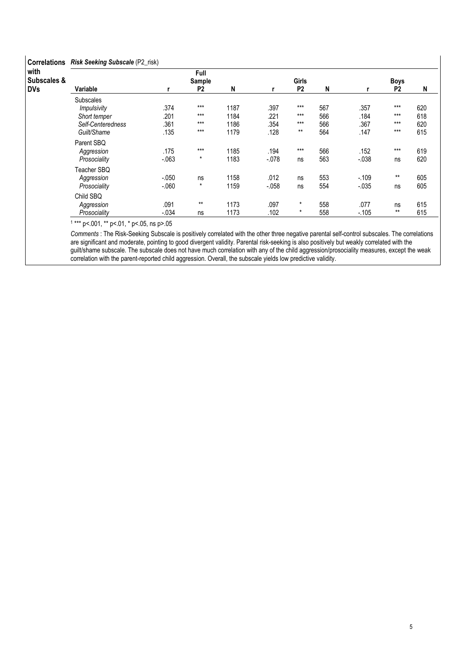| <b>Correlations</b>            | Risk Seeking Subscale (P2_risk) |         |                |      |         |                |     |          |                |     |  |  |  |
|--------------------------------|---------------------------------|---------|----------------|------|---------|----------------|-----|----------|----------------|-----|--|--|--|
| with<br><b>Subscales &amp;</b> |                                 |         | Full<br>Sample |      |         | <b>Girls</b>   |     |          | <b>Boys</b>    |     |  |  |  |
| <b>DVs</b>                     | Variable                        |         | P <sub>2</sub> | N    | r       | P <sub>2</sub> | N   |          | P <sub>2</sub> | N   |  |  |  |
|                                | <b>Subscales</b>                |         |                |      |         |                |     |          |                |     |  |  |  |
|                                | <i>Impulsivity</i>              | .374    | $***$          | 1187 | .397    | $***$          | 567 | .357     | $***$          | 620 |  |  |  |
|                                | Short temper                    | .201    | $***$          | 1184 | .221    | $***$          | 566 | .184     | ***            | 618 |  |  |  |
|                                | Self-Centeredness               | .361    | $***$          | 1186 | .354    | $***$          | 566 | .367     | $***$          | 620 |  |  |  |
|                                | Guilt/Shame                     | .135    | $***$          | 1179 | .128    | $***$          | 564 | .147     | $***$          | 615 |  |  |  |
|                                | Parent SBQ                      |         |                |      |         |                |     |          |                |     |  |  |  |
|                                | Aggression                      | .175    | $***$          | 1185 | .194    | $***$          | 566 | .152     | $***$          | 619 |  |  |  |
|                                | Prosociality                    | $-.063$ | $\star$        | 1183 | $-.078$ | ns             | 563 | $-0.38$  | ns             | 620 |  |  |  |
|                                | Teacher SBQ                     |         |                |      |         |                |     |          |                |     |  |  |  |
|                                | Aggression                      | $-.050$ | ns             | 1158 | .012    | ns             | 553 | $-.109$  | $***$          | 605 |  |  |  |
|                                | Prosociality                    | $-060$  | $\star$        | 1159 | $-.058$ | ns             | 554 | $-0.035$ | ns             | 605 |  |  |  |
|                                | Child SBQ                       |         |                |      |         |                |     |          |                |     |  |  |  |
|                                | Aggression                      | .091    | $***$          | 1173 | .097    | $\star$        | 558 | .077     | ns             | 615 |  |  |  |
|                                | Prosociality                    | $-.034$ | ns             | 1173 | .102    | $\star$        | 558 | $-.105$  | $***$          | 615 |  |  |  |

Comments : The Risk-Seeking Subscale is positively correlated with the other three negative parental self-control subscales. The correlations are significant and moderate, pointing to good divergent validity. Parental risk-seeking is also positively but weakly correlated with the guilt/shame subscale. The subscale does not have much correlation with any of the child aggression/prosociality measures, except the weak correlation with the parent-reported child aggression. Overall, the subscale yields low predictive validity.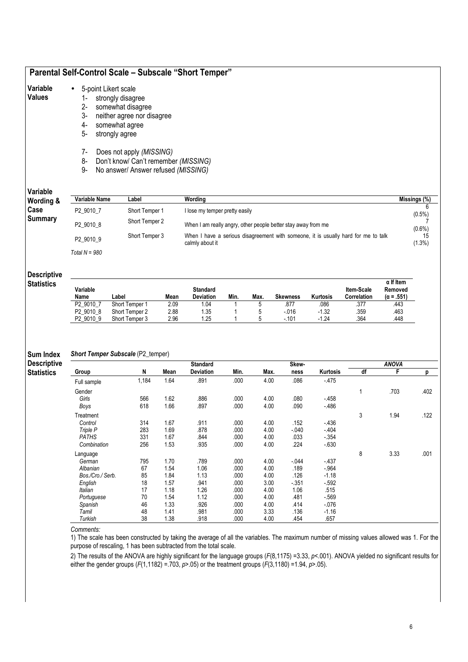# Parental Self-Control Scale – Subscale "Short Temper"

#### Variable • 5-point Likert scale

#### Values

- 1- strongly disagree 2- somewhat disagree
	-
	- 3- neither agree nor disagree somewhat agree
	- 5- strongly agree
	-
	- 7- Does not apply (MISSING) 8- Don't know/ Can't remember (MISSING)
	- 9- No answer/ Answer refused (MISSING)
	-

### Variable

| Variable<br>Wording & | Variable Name         | Label          | Wordina                                                                                               | Missings (%)    |
|-----------------------|-----------------------|----------------|-------------------------------------------------------------------------------------------------------|-----------------|
| Case                  | P <sub>2</sub> 9010 7 | Short Temper 1 | I lose my temper pretty easily                                                                        | $(0.5\%)$       |
| <b>Summary</b>        | P2 9010 8             | Short Temper 2 | When I am really angry, other people better stay away from me                                         | $(0.6\%)$       |
|                       | P2 9010 9             | Short Temper 3 | When I have a serious disagreement with someone, it is usually hard for me to talk<br>calmly about it | 15<br>$(1.3\%)$ |
|                       | Total $N = 980$       |                |                                                                                                       |                 |

### Descriptive

| Variable<br>Name      | Label          | Mean | <b>Standard</b><br><b>Deviation</b> | Min. | Max. | <b>Skewness</b> | Kurtosis | <b>Item-Scale</b><br>Correlation | $\alpha$ If Item<br>Removed<br>$(\alpha = .551)$ |
|-----------------------|----------------|------|-------------------------------------|------|------|-----------------|----------|----------------------------------|--------------------------------------------------|
| P <sub>2</sub> 9010 7 | Short Temper 1 | 2.09 | .04                                 |      |      | .877            | 086      | .377                             | .443                                             |
| P <sub>2</sub> 9010 8 | Short Temper 2 | 2.88 | .35                                 |      |      | $-016$          | $-1.32$  | .359                             | 463                                              |
| P <sub>2</sub> 9010 9 | Short Temper 3 | 2.96 | .25                                 |      |      | $-101$          | $-1.24$  | .364                             | .448                                             |

#### Sum Index Short Temper Subscale (P2\_temper)

| <b>Descriptive</b> |                  |       |      | <b>Standard</b>  |      |      | Skew-  |          |    | <b>ANOVA</b> |      |
|--------------------|------------------|-------|------|------------------|------|------|--------|----------|----|--------------|------|
| <b>Statistics</b>  | Group            | N     | Mean | <b>Deviation</b> | Min. | Max. | ness   | Kurtosis | df | F            | p    |
|                    | Full sample      | 1,184 | 1.64 | .891             | .000 | 4.00 | .086   | $-475$   |    |              |      |
|                    | Gender           |       |      |                  |      |      |        |          |    | .703         | .402 |
|                    | Girls            | 566   | 1.62 | .886             | .000 | 4.00 | .080   | $-458$   |    |              |      |
|                    | Boys             | 618   | 1.66 | .897             | .000 | 4.00 | .090   | $-486$   |    |              |      |
|                    | Treatment        |       |      |                  |      |      |        |          | 3  | 1.94         | .122 |
|                    | Control          | 314   | 1.67 | .911             | .000 | 4.00 | .152   | $-436$   |    |              |      |
|                    | Triple P         | 283   | 1.69 | .878             | .000 | 4.00 | $-040$ | $-404$   |    |              |      |
|                    | <b>PATHS</b>     | 331   | 1.67 | .844             | .000 | 4.00 | .033   | $-354$   |    |              |      |
|                    | Combination      | 256   | 1.53 | .935             | .000 | 4.00 | .224   | $-630$   |    |              |      |
|                    | Language         |       |      |                  |      |      |        |          | 8  | 3.33         | .001 |
|                    | German           | 795   | 1.70 | .789             | .000 | 4.00 | $-044$ | $-437$   |    |              |      |
|                    | Albanian         | 67    | 1.54 | 1.06             | .000 | 4.00 | .189   | $-.964$  |    |              |      |
|                    | Bos./Cro./ Serb. | 85    | 1.84 | 1.13             | .000 | 4.00 | .126   | $-1.18$  |    |              |      |
|                    | English          | 18    | 1.57 | .941             | .000 | 3.00 | $-351$ | $-592$   |    |              |      |
|                    | Italian          | 17    | 1.18 | 1.26             | .000 | 4.00 | 1.06   | .515     |    |              |      |
|                    | Portuguese       | 70    | 1.54 | 1.12             | .000 | 4.00 | .481   | $-569$   |    |              |      |
|                    | Spanish          | 46    | 1.33 | .926             | .000 | 4.00 | .414   | $-076$   |    |              |      |
|                    | Tamil            | 48    | 1.41 | .981             | .000 | 3.33 | .136   | $-1.16$  |    |              |      |
|                    | Turkish          | 38    | 1.38 | .918             | .000 | 4.00 | .454   | .657     |    |              |      |

#### Comments:

1) The scale has been constructed by taking the average of all the variables. The maximum number of missing values allowed was 1. For the purpose of rescaling, 1 has been subtracted from the total scale.

2) The results of the ANOVA are highly significant for the language groups  $(F(8,1175) = 3.33, p < 0.001)$ . ANOVA yielded no significant results for either the gender groups (F(1,1182) = 703, p>.05) or the treatment groups ( $\overline{F(3,1180)}$  = 1.94, p>.05).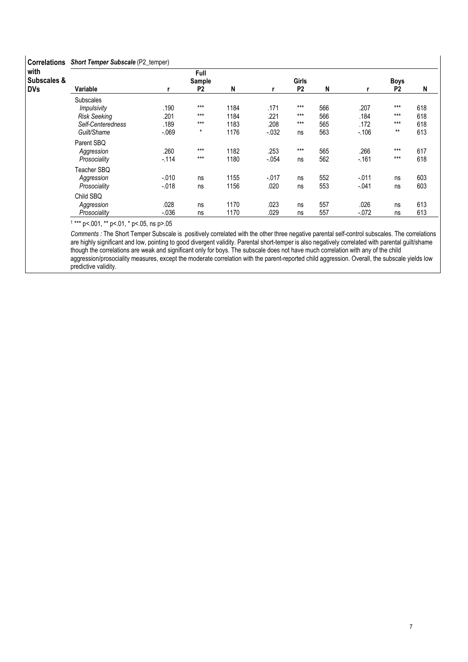| <b>Correlations</b>            | <b>Short Temper Subscale (P2_temper)</b> |         |                          |      |          |                |     |         |                        |     |
|--------------------------------|------------------------------------------|---------|--------------------------|------|----------|----------------|-----|---------|------------------------|-----|
| with<br><b>Subscales &amp;</b> |                                          |         | Full                     |      |          | Girls          |     |         |                        |     |
| <b>DVs</b>                     | Variable                                 |         | Sample<br>P <sub>2</sub> | N    |          | P <sub>2</sub> | N   |         | Boys<br>P <sub>2</sub> | N   |
|                                | <b>Subscales</b>                         |         |                          |      |          |                |     |         |                        |     |
|                                | Impulsivity                              | .190    | $***$                    | 1184 | .171     | $***$          | 566 | .207    | $***$                  | 618 |
|                                | <b>Risk Seeking</b>                      | .201    | $***$                    | 1184 | .221     | $***$          | 566 | .184    | $***$                  | 618 |
|                                | Self-Centeredness                        | .189    | $***$                    | 1183 | .208     | $***$          | 565 | .172    | $***$                  | 618 |
|                                | Guilt/Shame                              | $-069$  | $\star$                  | 1176 | $-0.032$ | ns             | 563 | $-.106$ | $***$                  | 613 |
|                                | Parent SBQ                               |         |                          |      |          |                |     |         |                        |     |
|                                | Aggression                               | .260    | $***$                    | 1182 | .253     | $***$          | 565 | .266    | $***$                  | 617 |
|                                | Prosociality                             | $-114$  | $***$                    | 1180 | $-.054$  | ns             | 562 | $-161$  | $***$                  | 618 |
|                                | Teacher SBQ                              |         |                          |      |          |                |     |         |                        |     |
|                                | Aggression                               | $-.010$ | ns                       | 1155 | $-0.017$ | ns             | 552 | $-.011$ | ns                     | 603 |
|                                | Prosociality                             | $-.018$ | ns                       | 1156 | .020     | ns             | 553 | $-.041$ | ns                     | 603 |
|                                | Child SBQ                                |         |                          |      |          |                |     |         |                        |     |
|                                | Aggression                               | .028    | ns                       | 1170 | .023     | ns             | 557 | .026    | ns                     | 613 |
|                                | Prosociality                             | $-.036$ | ns                       | 1170 | .029     | ns             | 557 | $-.072$ | ns                     | 613 |

Comments : The Short Temper Subscale is .positively correlated with the other three negative parental self-control subscales. The correlations are highly significant and low, pointing to good divergent validity. Parental short-temper is also negatively correlated with parental guilt/shame though the correlations are weak and significant only for boys. The subscale does not have much correlation with any of the child aggression/prosociality measures, except the moderate correlation with the parent-reported child aggression. Overall, the subscale yields low predictive validity.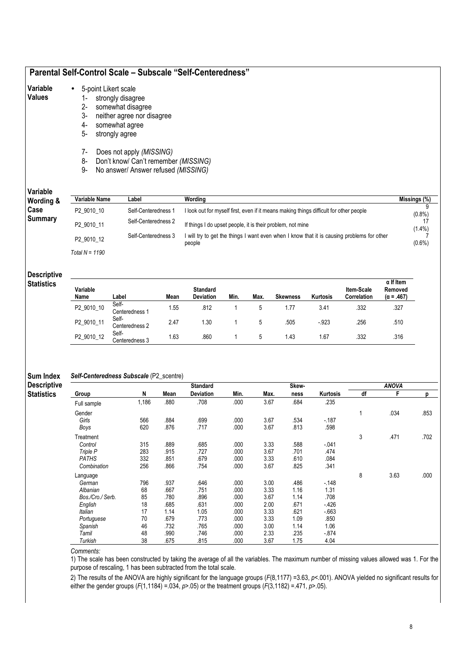# Parental Self-Control Scale – Subscale "Self-Centeredness"

#### Variable • 5-point Likert scale

### Values

- 1- strongly disagree 2- somewhat disagree
	- 3- neither agree nor disagree
	- 4- somewhat agree
	- 5- strongly agree
	-
	- 7- Does not apply (MISSING)
	- 8- Don't know/ Can't remember (MISSING)
	- 9- No answer/ Answer refused (MISSING)

### Variable

| Variable<br>Wording & | Variable Name    | Label               | Wordina                                                                                              | Missings (%) |
|-----------------------|------------------|---------------------|------------------------------------------------------------------------------------------------------|--------------|
| Case                  | P2 9010 10       | Self-Centeredness 1 | I look out for myself first, even if it means making things difficult for other people               | $(0.8\%)$    |
| <b>Summary</b>        | P2 9010 11       | Self-Centeredness 2 | If things I do upset people, it is their problem, not mine                                           | $(1.4\%)$    |
|                       | P2 9010 12       | Self-Centeredness 3 | I will try to get the things I want even when I know that it is causing problems for other<br>people | $(0.6\%)$    |
|                       | Total N = $1190$ |                     |                                                                                                      |              |

#### Descriptive

|  | Statistics |  |
|--|------------|--|
|  |            |  |

| Variable<br>Name | Label                              | Mean | <b>Standard</b><br><b>Deviation</b> | Min. | Max. | <b>Skewness</b> | Kurtosis | <b>Item-Scale</b><br>Correlation | $\alpha$ If Item<br>Removed<br>$(\alpha = .467)$ |
|------------------|------------------------------------|------|-------------------------------------|------|------|-----------------|----------|----------------------------------|--------------------------------------------------|
| P2_9010_10       | Self-<br>Centeredness <sup>1</sup> | 1.55 | .812                                |      |      | 1.77            | 3.41     | .332                             | .327                                             |
| P2_9010_11       | Self-<br>Centeredness 2            | 2.47 | 1.30                                |      |      | .505            | $-0.923$ | .256                             | .510                                             |
| P2 9010 12       | Self-<br>Centeredness 3            | .63  | .860                                |      |      | 1.43            | 1.67     | .332                             | .316                                             |

#### Sum Index Self-Centeredness Subscale (P2\_scentre)

Descriptive **Statistics** 

|                  |       |      | <b>Standard</b> |      |      | Skew- |          |    | <b>ANOVA</b> |      |
|------------------|-------|------|-----------------|------|------|-------|----------|----|--------------|------|
| Group            | N     | Mean | Deviation       | Min. | Max. | ness  | Kurtosis | df | F            | р    |
| Full sample      | 1,186 | .880 | .708            | .000 | 3.67 | .684  | .235     |    |              |      |
| Gender           |       |      |                 |      |      |       |          |    | .034         | .853 |
| Girls            | 566   | .884 | .699            | .000 | 3.67 | .534  | $-187$   |    |              |      |
| Boys             | 620   | .876 | .717            | .000 | 3.67 | .813  | .598     |    |              |      |
| Treatment        |       |      |                 |      |      |       |          | 3  | .471         | .702 |
| Control          | 315   | .889 | .685            | .000 | 3.33 | .588  | $-041$   |    |              |      |
| Triple P         | 283   | .915 | .727            | .000 | 3.67 | .701  | .474     |    |              |      |
| <b>PATHS</b>     | 332   | .851 | .679            | .000 | 3.33 | .610  | .084     |    |              |      |
| Combination      | 256   | .866 | .754            | .000 | 3.67 | .825  | .341     |    |              |      |
| Language         |       |      |                 |      |      |       |          | 8  | 3.63         | .000 |
| German           | 796   | .937 | .646            | .000 | 3.00 | .486  | $-148$   |    |              |      |
| Albanian         | 68    | .667 | .751            | .000 | 3.33 | 1.16  | 1.31     |    |              |      |
| Bos./Cro./ Serb. | 85    | .780 | .896            | .000 | 3.67 | 1.14  | .708     |    |              |      |
| English          | 18    | .685 | .631            | .000 | 2.00 | .671  | - 426    |    |              |      |
| Italian          | 17    | 1.14 | 1.05            | .000 | 3.33 | .621  | $-663$   |    |              |      |
| Portuguese       | 70    | .679 | .773            | .000 | 3.33 | 1.09  | .850     |    |              |      |
| Spanish          | 46    | .732 | .765            | .000 | 3.00 | 1.14  | 1.06     |    |              |      |
| Tamil            | 48    | .990 | .746            | .000 | 2.33 | .235  | - 874    |    |              |      |
| Turkish          | 38    | .675 | .815            | .000 | 3.67 | 1.75  | 4.04     |    |              |      |

Comments:

1) The scale has been constructed by taking the average of all the variables. The maximum number of missing values allowed was 1. For the purpose of rescaling, 1 has been subtracted from the total scale.

2) The results of the ANOVA are highly significant for the language groups (F(8,1177) =3.63, p<.001). ANOVA yielded no significant results for either the gender groups  $(F(1, 1184) = .034, p > .05)$  or the treatment groups  $(F(3, 1182) = .471, p > .05)$ .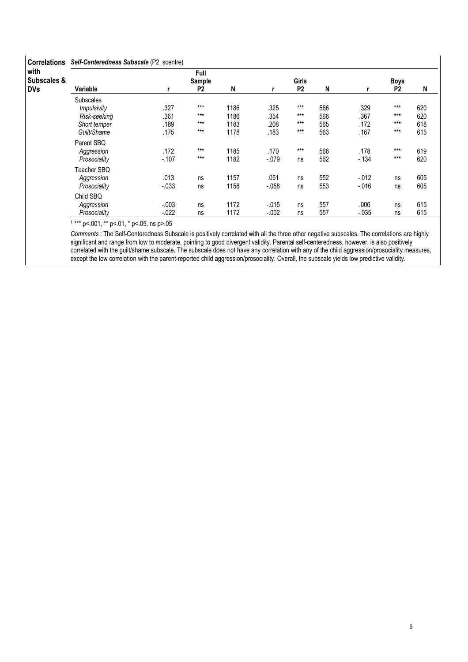### Correlations Self-Centeredness Subscale (P2\_scentre)

| <b>UUILEIALIUIS</b>            | <b>Self-Center editess Subscale</b> (1.2 Scenter) |          |                |      |         |                |     |          |                |     |
|--------------------------------|---------------------------------------------------|----------|----------------|------|---------|----------------|-----|----------|----------------|-----|
| with<br><b>Subscales &amp;</b> |                                                   |          | Full<br>Sample |      |         | <b>Girls</b>   |     |          | <b>Boys</b>    |     |
| <b>DVs</b>                     | Variable                                          |          | P <sub>2</sub> | N    |         | P <sub>2</sub> | N   |          | P <sub>2</sub> | N   |
|                                | <b>Subscales</b>                                  |          |                |      |         |                |     |          |                |     |
|                                | <i>Impulsivity</i>                                | .327     | $***$          | 1186 | .325    | $***$          | 566 | .329     | $***$          | 620 |
|                                | Risk-seeking                                      | .361     | $***$          | 1186 | .354    | $***$          | 566 | .367     | $***$          | 620 |
|                                | Short temper                                      | .189     | $***$          | 1183 | .208    | $***$          | 565 | .172     | $***$          | 618 |
|                                | Guilt/Shame                                       | .175     | $***$          | 1178 | .183    | $***$          | 563 | .167     | $***$          | 615 |
|                                | Parent SBQ                                        |          |                |      |         |                |     |          |                |     |
|                                | Aggression                                        | .172     | $***$          | 1185 | .170    | $***$          | 566 | .178     | $***$          | 619 |
|                                | Prosociality                                      | $-107$   | $***$          | 1182 | $-.079$ | ns             | 562 | $-134$   | $***$          | 620 |
|                                | Teacher SBQ                                       |          |                |      |         |                |     |          |                |     |
|                                | Aggression                                        | .013     | ns             | 1157 | .051    | ns             | 552 | $-0.012$ | ns             | 605 |
|                                | Prosociality                                      | $-033$   | ns             | 1158 | $-.058$ | ns             | 553 | $-0.016$ | ns             | 605 |
|                                | Child SBQ                                         |          |                |      |         |                |     |          |                |     |
|                                | Aggression                                        | $-.003$  | ns             | 1172 | $-.015$ | ns             | 557 | .006     | ns             | 615 |
|                                | Prosociality                                      | $-0.022$ | ns             | 1172 | $-.002$ | ns             | 557 | $-0.035$ | ns             | 615 |

1 \*\*\* p<.001, \*\* p<.01, \* p<.05, ns p>.05

Comments : The Self-Centeredness Subscale is positively correlated with all the three other negative subscales. The correlations are highly significant and range from low to moderate, pointing to good divergent validity. Parental self-centeredness, however, is also positively correlated with the guilt/shame subscale. The subscale does not have any correlation with any of the child aggression/prosociality measures, except the low correlation with the parent-reported child aggression/prosociality. Overall, the subscale yields low predictive validity.

 $\overline{1}$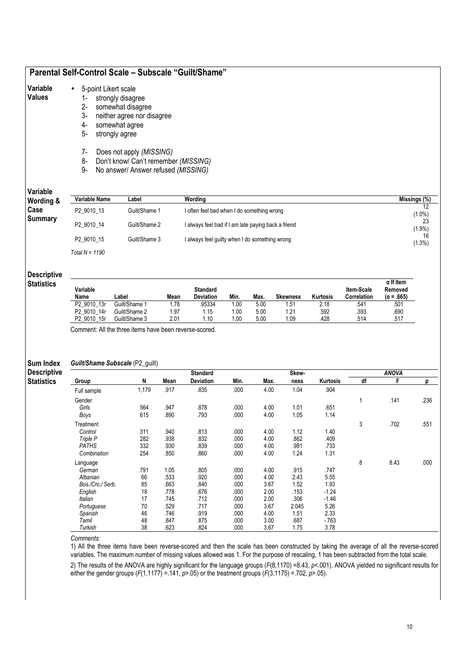# Parental Self-Control Scale – Subscale "Guilt/Shame"

| Variable |  |  | 5-point Likert scale |
|----------|--|--|----------------------|
|----------|--|--|----------------------|

### Values

- 1- strongly disagree 2- somewhat disagree
	- 3- neither agree nor disagree
	- 4- somewhat agree
	- 5- strongly agree
	- 7- Does not apply (MISSING)
	- 8- Don't know/ Can't remember (MISSING)
	- 9- No answer/ Answer refused (MISSING)

# Variable

| Variable<br>Wording & | Variable Name    | Label         | Wordina                                             | Missings (%)    |
|-----------------------|------------------|---------------|-----------------------------------------------------|-----------------|
| Case                  | P2 9010 13       | Guilt/Shame 1 | I often feel bad when I do something wrong          | $(1.0\%)$       |
| <b>Summary</b>        | P2 9010 14       | Guilt/Shame 2 | I always feel bad if I am late paying back a friend | 23<br>$(1.9\%)$ |
|                       | P2 9010 15       | Guilt/Shame 3 | I always feel guilty when I do something wrong      | 16<br>$(1.3\%)$ |
|                       | Total $N = 1190$ |               |                                                     |                 |

#### **Descriptive**

| Statistics |  |
|------------|--|
|            |  |
|            |  |
|            |  |

| Variable                   |               |      | Standard  |      |      |                 |          | <b>Item-Scale</b> | $\alpha$ If Item<br>Removed |
|----------------------------|---------------|------|-----------|------|------|-----------------|----------|-------------------|-----------------------------|
| Name                       | .abel         | Mean | Deviation | Min. | Max. | <b>Skewness</b> | Kurtosis | Correlation       | $(\alpha = .665)$           |
| P2 9010 13r                | Guilt/Shame 1 | 1.78 | 95334     | .00  | 5.00 | 1.51            | 2.18     | .541              | .501                        |
| P2 9010 14r                | Guilt/Shame 2 | 1.97 | 1.15      | .00  | 5.00 | 1.21            | .592     | .393              | .690                        |
| P <sub>2</sub> 9010<br>15r | Guilt/Shame 3 | 2.01 | 1.10      | .00  | 5.00 | 1.09            | .428     | .514              | .517                        |

Comment: All the three items have been reverse-scored.

### Sum Index

Descriptive

**Statistics** 

### Guilt/Shame Subscale (P2\_guilt)

|                  |       |      | <b>Standard</b>  |      |      | Skew- |          |              |      |      |
|------------------|-------|------|------------------|------|------|-------|----------|--------------|------|------|
| Group            | N     | Mean | <b>Deviation</b> | Min. | Max. | ness  | Kurtosis | df           | F    | D    |
| Full sample      | 1,179 | .917 | .835             | .000 | 4.00 | 1.04  | .904     |              |      |      |
| Gender           |       |      |                  |      |      |       |          | $\mathbf{1}$ | .141 | .236 |
| Girls            | 564   | .947 | .878             | .000 | 4.00 | 1.01  | .651     |              |      |      |
| Boys             | 615   | .890 | .793             | .000 | 4.00 | 1.05  | 1.14     |              |      |      |
| Treatment        |       |      |                  |      |      |       |          | 3            | .702 | .551 |
| Control          | 311   | .940 | .813             | .000 | 4.00 | 1.12  | 1.40     |              |      |      |
| Triple P         | 282   | .938 | .832             | .000 | 4.00 | .862  | .409     |              |      |      |
| <b>PATHS</b>     | 332   | .930 | .839             | .000 | 4.00 | .981  | .733     |              |      |      |
| Combination      | 254   | .850 | .860             | .000 | 4.00 | 1.24  | 1.31     |              |      |      |
| Language         |       |      |                  |      |      |       |          | 8            | 8.43 | .000 |
| German           | 791   | 1.05 | .805             | .000 | 4.00 | .915  | .747     |              |      |      |
| Albanian         | 66    | .533 | .920             | .000 | 4.00 | 2.43  | 5.55     |              |      |      |
| Bos./Cro./ Serb. | 85    | .663 | .840             | .000 | 3.67 | 1.52  | 1.93     |              |      |      |
| English          | 18    | .778 | .676             | .000 | 2.00 | .153  | $-1.24$  |              |      |      |
| Italian          | 17    | .745 | .712             | .000 | 2.00 | .306  | $-1.46$  |              |      |      |
| Portuguese       | 70    | 529  | .717             | .000 | 3.67 | 2.045 | 5.26     |              |      |      |
| Spanish          | 46    | .746 | .919             | .000 | 4.00 | 1.51  | 2.33     |              |      |      |
| Tamil            | 48    | .847 | .875             | .000 | 3.00 | .687  | $-763$   |              |      |      |
| Turkish          | 38    | 623  | .824             | .000 | 3.67 | 1.75  | 3.78     |              |      |      |

Comments:

1) All the three items have been reverse-scored and then the scale has been constructed by taking the average of all the reverse-scored variables. The maximum number of missing values allowed was 1. For the purpose of rescaling, 1 has been subtracted from the total scale.

2) The results of the ANOVA are highly significant for the language groups  $(F(8,1170) = 8.43, p < 001)$ . ANOVA yielded no significant results for either the gender groups  $(F(1,1177) = 141, p > 05)$  or the treatment groups  $(F(3,1175) = 702, p > 05)$ .